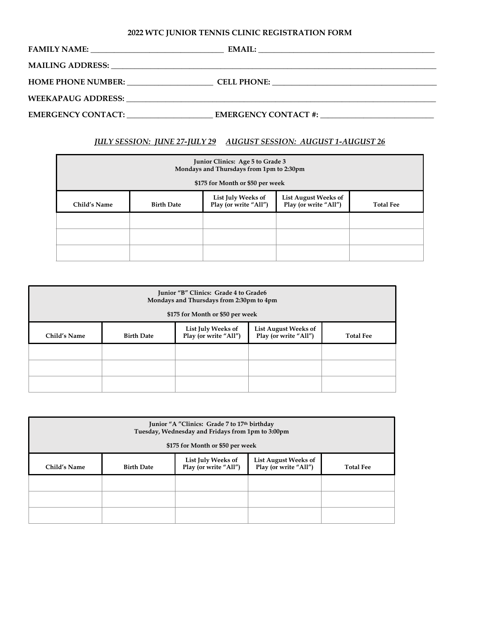## **2022 WTC JUNIOR TENNIS CLINIC REGISTRATION FORM**

|                                                                                                                                                                                                                               | <b>EMAIL:</b> |
|-------------------------------------------------------------------------------------------------------------------------------------------------------------------------------------------------------------------------------|---------------|
| MAILING ADDRESS: Lawrence and the contract of the contract of the contract of the contract of the contract of the contract of the contract of the contract of the contract of the contract of the contract of the contract of |               |
| <b>HOME PHONE NUMBER:</b>                                                                                                                                                                                                     |               |
|                                                                                                                                                                                                                               |               |
| EMERGENCY CONTACT:                                                                                                                                                                                                            |               |

## *JULY SESSION: JUNE 27-JULY 29 AUGUST SESSION: AUGUST 1-AUGUST 26*

| Junior Clinics: Age 5 to Grade 3<br>Mondays and Thursdays from 1pm to 2:30pm<br>\$175 for Month or \$50 per week |                   |                                             |                                                      |                  |
|------------------------------------------------------------------------------------------------------------------|-------------------|---------------------------------------------|------------------------------------------------------|------------------|
| Child's Name                                                                                                     | <b>Birth Date</b> | List July Weeks of<br>Play (or write "All") | <b>List August Weeks of</b><br>Play (or write "All") | <b>Total Fee</b> |
|                                                                                                                  |                   |                                             |                                                      |                  |
|                                                                                                                  |                   |                                             |                                                      |                  |
|                                                                                                                  |                   |                                             |                                                      |                  |

| Junior "B" Clinics: Grade 4 to Grade6<br>Mondays and Thursdays from 2:30pm to 4pm<br>\$175 for Month or \$50 per week |                   |                                             |                                                      |                  |
|-----------------------------------------------------------------------------------------------------------------------|-------------------|---------------------------------------------|------------------------------------------------------|------------------|
| Child's Name                                                                                                          | <b>Birth Date</b> | List July Weeks of<br>Play (or write "All") | <b>List August Weeks of</b><br>Play (or write "All") | <b>Total Fee</b> |
|                                                                                                                       |                   |                                             |                                                      |                  |
|                                                                                                                       |                   |                                             |                                                      |                  |
|                                                                                                                       |                   |                                             |                                                      |                  |

| Junior "A "Clinics: Grade 7 to 17th birthday<br>Tuesday, Wednesday and Fridays from 1pm to 3:00pm<br>\$175 for Month or \$50 per week |                   |                                             |                                               |                  |
|---------------------------------------------------------------------------------------------------------------------------------------|-------------------|---------------------------------------------|-----------------------------------------------|------------------|
| Child's Name                                                                                                                          | <b>Birth Date</b> | List July Weeks of<br>Play (or write "All") | List August Weeks of<br>Play (or write "All") | <b>Total Fee</b> |
|                                                                                                                                       |                   |                                             |                                               |                  |
|                                                                                                                                       |                   |                                             |                                               |                  |
|                                                                                                                                       |                   |                                             |                                               |                  |